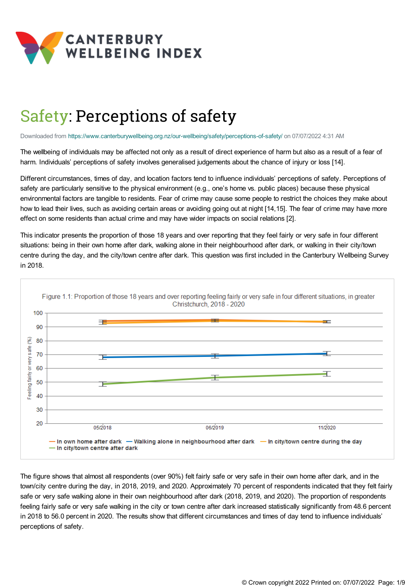

# Safety: Perceptions of safety

Downloaded from <https://www.canterburywellbeing.org.nz/our-wellbeing/safety/perceptions-of-safety/> on 07/07/2022 4:31 AM

The wellbeing of individuals may be affected not only as a result of direct experience of harm but also as a result of a fear of harm. Individuals' perceptions of safety involves generalised judgements about the chance of injury or loss [14].

Different circumstances, times of day, and location factors tend to influence individuals' perceptions of safety. Perceptions of safety are particularly sensitive to the physical environment (e.g., one's home vs. public places) because these physical environmental factors are tangible to residents. Fear of crime may cause some people to restrict the choices they make about how to lead their lives, such as avoiding certain areas or avoiding going out at night [14,15]. The fear of crime may have more effect on some residents than actual crime and may have wider impacts on social relations [2].

This indicator presents the proportion of those 18 years and over reporting that they feel fairly or very safe in four different situations: being in their own home after dark, walking alone in their neighbourhood after dark, or walking in their city/town centre during the day, and the city/town centre after dark. This question was first included in the Canterbury Wellbeing Survey in 2018.



The figure shows that almost all respondents (over 90%) felt fairly safe or very safe in their own home after dark, and in the town/city centre during the day, in 2018, 2019, and 2020. Approximately 70 percent of respondents indicated that they felt fairly safe or very safe walking alone in their own neighbourhood after dark (2018, 2019, and 2020). The proportion of respondents feeling fairly safe or very safe walking in the city or town centre after dark increased statistically significantly from 48.6 percent in 2018 to 56.0 percent in 2020. The results show that different circumstances and times of day tend to influence individuals' perceptions of safety.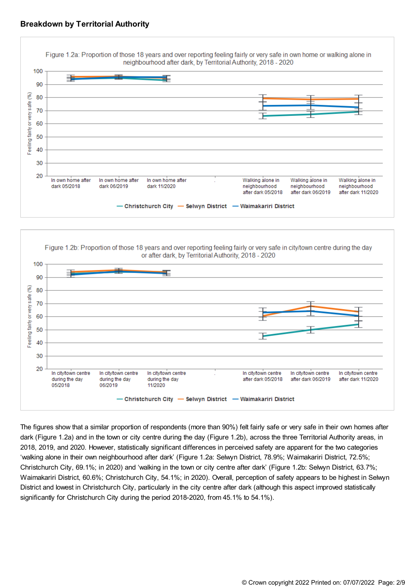





The figures show that a similar proportion of respondents (more than 90%) felt fairly safe or very safe in their own homes after dark (Figure 1.2a) and in the town or city centre during the day (Figure 1.2b), across the three Territorial Authority areas, in 2018, 2019, and 2020. However, statistically significant differences in perceived safety are apparent for the two categories 'walking alone in their own neighbourhood after dark' (Figure 1.2a: Selwyn District, 78.9%; Waimakariri District, 72.5%; Christchurch City, 69.1%; in 2020) and 'walking in the town or city centre after dark' (Figure 1.2b: Selwyn District, 63.7%; Waimakariri District, 60.6%; Christchurch City, 54.1%; in 2020). Overall, perception of safety appears to be highest in Selwyn District and lowest in Christchurch City, particularly in the city centre after dark (although this aspect improved statistically significantly for Christchurch City during the period 2018-2020, from 45.1% to 54.1%).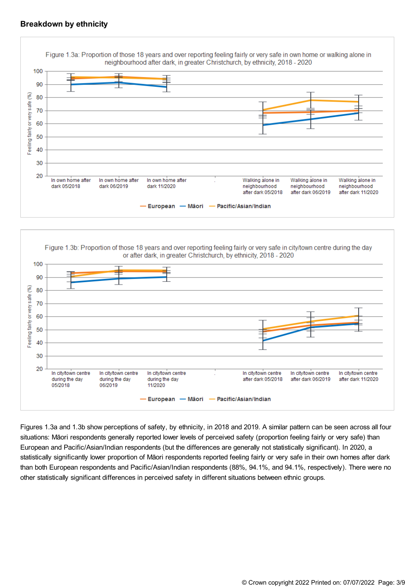## **Breakdown by ethnicity**



Figure 1.3b: Proportion of those 18 years and over reporting feeling fairly or very safe in city/town centre during the day or after dark, in greater Christchurch, by ethnicity, 2018 - 2020 100 90 E 80 eeling fairly or very safe  $70$ 60 50 40 30 20 In city/town centre In city/town centre In city/town centre In city/town centre In city/town centre In city/town centre during the day during the day during the day after dark 05/2018 after dark 06/2019 after dark 11/2020 05/2018 06/2019 11/2020 European -- Māori — Pacific/Asian/Indian

Figures 1.3a and 1.3b show perceptions of safety, by ethnicity, in 2018 and 2019. A similar pattern can be seen across all four situations: Māori respondents generally reported lower levels of perceived safety (proportion feeling fairly or very safe) than European and Pacific/Asian/Indian respondents (but the differences are generally not statistically significant). In 2020, a statistically significantly lower proportion of Māori respondents reported feeling fairly or very safe in their own homes after dark than both European respondents and Pacific/Asian/Indian respondents (88%, 94.1%, and 94.1%, respectively). There were no other statistically significant differences in perceived safety in different situations between ethnic groups.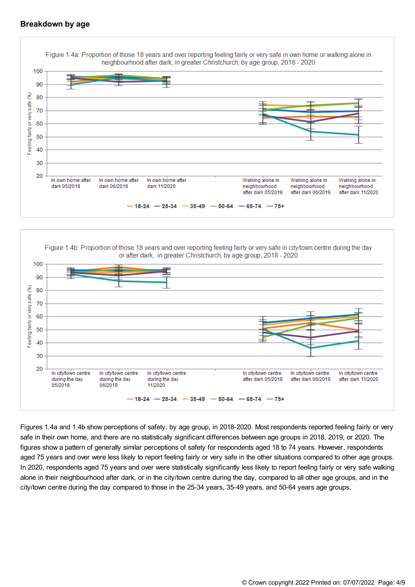## **Breakdown by age**





Figures 1.4a and 1.4b show perceptions of safety, by age group, in 2018-2020. Most respondents reported feeling fairly or very safe in their own home, and there are no statistically significant differences between age groups in 2018, 2019, or 2020. The figures show a pattern of generally similar perceptions of safety for respondents aged 18 to 74 years. However, respondents aged 75 years and over were less likely to report feeling fairly or very safe in the other situations compared to other age groups. In 2020, respondents aged 75 years and over were statistically significantly less likely to report feeling fairly or very safe walking alone in their neighbourhood after dark, or in the city/town centre during the day, compared to all other age groups, and in the city/town centre during the day compared to those in the 25-34 years, 35-49 years, and 50-64 years age groups.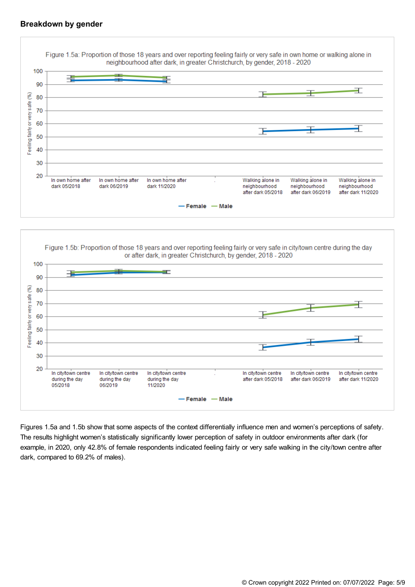## **Breakdown by gender**





Figures 1.5a and 1.5b show that some aspects of the context differentially influence men and women's perceptions of safety. The results highlight women's statistically significantly lower perception of safety in outdoor environments after dark (for example, in 2020, only 42.8% of female respondents indicated feeling fairly or very safe walking in the city/town centre after dark, compared to 69.2% of males).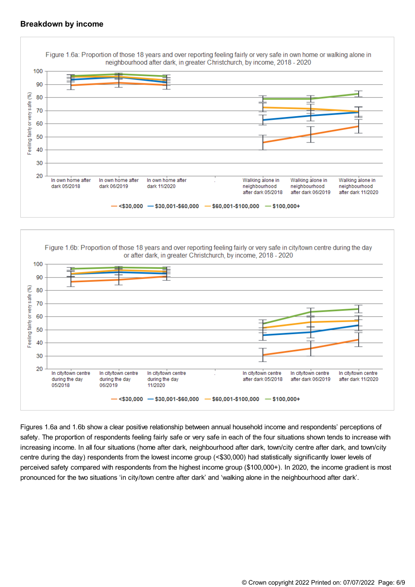#### **Breakdown by income**





Figures 1.6a and 1.6b show a clear positive relationship between annual household income and respondents' perceptions of safety. The proportion of respondents feeling fairly safe or very safe in each of the four situations shown tends to increase with increasing income. In all four situations (home after dark, neighbourhood after dark, town/city centre after dark, and town/city centre during the day) respondents from the lowest income group (<\$30,000) had statistically significantly lower levels of perceived safety compared with respondents from the highest income group (\$100,000+). In 2020, the income gradient is most pronounced for the two situations 'in city/town centre after dark' and 'walking alone in the neighbourhood after dark'.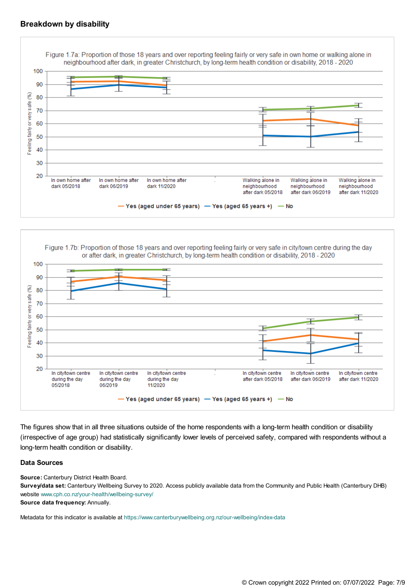#### **Breakdown by disability**





The figures show that in all three situations outside of the home respondents with a long-term health condition or disability (irrespective of age group) had statistically significantly lower levels of perceived safety, compared with respondents without a long-term health condition or disability.

#### **Data Sources**

**Source:** Canterbury District Health Board.

**Survey/data set:** Canterbury Wellbeing Survey to 2020. Access publicly available data from the Community and Public Health (Canterbury DHB) website [www.cph.co.nz/your-health/wellbeing-survey/](https://www.cph.co.nz/your-health/wellbeing-survey/)

**Source data frequency:** Annually.

Metadata for this indicator is available at [https://www.canterburywellbeing.org.nz/our-wellbeing/index-data](https://www.canterburywellbeing.org.nz/our-wellbeing/site-information/index-data)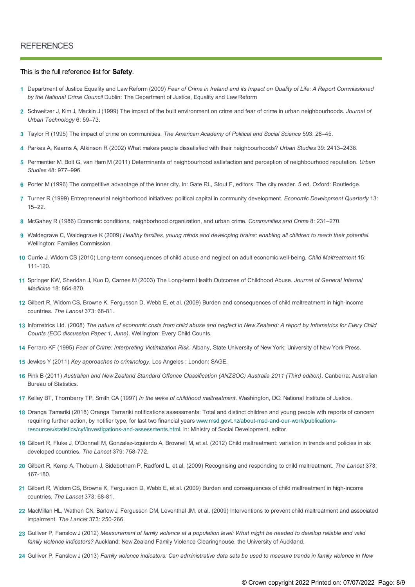#### This is the full reference list for **Safety**.

- 1 Department of Justice Equality and Law Reform (2009) Fear of Crime in Ireland and its Impact on Quality of Life: A Report Commissioned *by the National Crime Council* Dublin: The Department of Justice, Equality and Law Reform
- Schweitzer J, Kim J, Mackin J (1999) The impact of the built environment on crime and fear of crime in urban neighbourhoods. *Journal of* **2** *Urban Technology* 6: 59–73.
- **3** Taylor R (1995) The impact of crime on communities. *The American Academy of Political and Social Science* 593: 28–45.
- **4** Parkes A, Kearns A, Atkinson R (2002) What makes people dissatisfied with their neighbourhoods? *Urban Studies* 39: 2413–2438.
- Permentier M, Bolt G, van Ham M (2011) Determinants of neighbourhood satisfaction and perception of neighbourhood reputation. *Urban* **5** *Studies* 48: 977–996.
- **6** Porter M (1996) The competitive advantage of the inner city. In: Gate RL, Stout F, editors. The city reader. 5 ed. Oxford: Routledge.
- Turner R (1999) Entrepreneurial neighborhood initiatives: political capital in community development. *Economic Development Quarterly* 13: **7** 15–22.
- **8** McGahey R (1986) Economic conditions, neighborhood organization, and urban crime. *Communities and Crime* 8: 231–270.
- 9 Waldegrave C, Waldegrave K (2009) Healthy families, young minds and developing brains: enabling all children to reach their potential. Wellington: Families Commission.
- Currie J, Widom CS (2010) Long-term consequences of child abuse and neglect on adult economic well-being. *Child Maltreatment* 15: **10** 111-120.
- Springer KW, Sheridan J, Kuo D, Carnes M (2003) The Long-term Health Outcomes of Childhood Abuse. *Journal of General Internal* **11** *Medicine* 18: 864-870.
- 12 Gilbert R, Widom CS, Browne K, Fergusson D, Webb E, et al. (2009) Burden and consequences of child maltreatment in high-income countries. *The Lancet* 373: 68-81.
- 13 Infometrics Ltd. (2008) The nature of economic costs from child abuse and neglect in New Zealand: A report by Infometrics for Every Child *Counts (ECC discussion Paper 1, June)*. Wellington: Every Child Counts.
- **14** Ferraro KF (1995) *Fear of Crime: Interpreting Victimization Risk*. Albany, State University of New York: University of New York Press.
- **15** Jewkes Y (2011) *Key approaches to criminology*. Los Angeles ; London: SAGE.
- 16 Pink B (2011) Australian and New Zealand Standard Offence Classification (ANZSOC) Australia 2011 (Third edition). Canberra: Australian Bureau of Statistics.
- **17** Kelley BT, Thornberry TP, Smith CA (1997) *In the wake of childhood maltreatment*. Washington, DC: National Institute of Justice.
- 18 Oranga Tamariki (2018) Oranga Tamariki notifications assessments: Total and distinct children and young people with reports of concern requiring further action, by notifier type, for last two financial years [www.msd.govt.nz/about-msd-and-our-work/publications](https://dev.canterburywellbeing.org.nz//www.msd.govt.nz/about-msd-and-our-work/publications-resources/statistics/cyf/investigations-and-assessments.html)resources/statistics/cyf/investigations-and-assessments.html. In: Ministry of Social Development, editor.
- 19 Gilbert R, Fluke J, O'Donnell M, Gonzalez-Izquierdo A, Brownell M, et al. (2012) Child maltreatment: variation in trends and policies in six developed countries. *The Lancet* 379: 758-772.
- Gilbert R, Kemp A, Thoburn J, Sidebotham P, Radford L, et al. (2009) Recognising and responding to child maltreatment. *The Lancet* 373: **20** 167-180.
- Gilbert R, Widom CS, Browne K, Fergusson D, Webb E, et al. (2009) Burden and consequences of child maltreatment in high-income **21** countries. *The Lancet* 373: 68-81.
- 22 MacMillan HL, Wathen CN, Barlow J, Fergusson DM, Leventhal JM, et al. (2009) Interventions to prevent child maltreatment and associated impairment. *The Lancet* 373: 250-266.
- 23 Gulliver P, Fanslow J (2012) Measurement of family violence at a population level: What might be needed to develop reliable and valid *family violence indicators?* Auckland: New Zealand Family Violence Clearinghouse, the University of Auckland.
- 24 Gulliver P, Fanslow J (2013) Family violence indicators: Can administrative data sets be used to measure trends in family violence in New